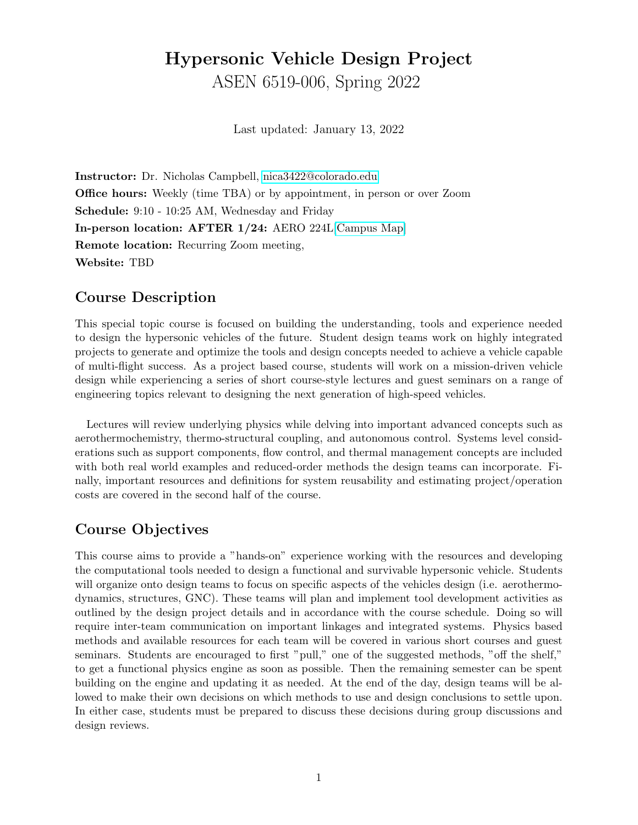# Hypersonic Vehicle Design Project ASEN 6519-006, Spring 2022

Last updated: January 13, 2022

Instructor: Dr. Nicholas Campbell, [nica3422@colorado.edu](mailto:nica3422@colorado.edu) Office hours: Weekly (time TBA) or by appointment, in person or over Zoom Schedule: 9:10 - 10:25 AM, Wednesday and Friday In-person location: AFTER 1/24: AERO 224L[\[Campus Map\]](https://www.colorado.edu/map/?id=336#!m/429230) Remote location: Recurring Zoom meeting, Website: TBD

#### Course Description

This special topic course is focused on building the understanding, tools and experience needed to design the hypersonic vehicles of the future. Student design teams work on highly integrated projects to generate and optimize the tools and design concepts needed to achieve a vehicle capable of multi-flight success. As a project based course, students will work on a mission-driven vehicle design while experiencing a series of short course-style lectures and guest seminars on a range of engineering topics relevant to designing the next generation of high-speed vehicles.

Lectures will review underlying physics while delving into important advanced concepts such as aerothermochemistry, thermo-structural coupling, and autonomous control. Systems level considerations such as support components, flow control, and thermal management concepts are included with both real world examples and reduced-order methods the design teams can incorporate. Finally, important resources and definitions for system reusability and estimating project/operation costs are covered in the second half of the course.

#### Course Objectives

This course aims to provide a "hands-on" experience working with the resources and developing the computational tools needed to design a functional and survivable hypersonic vehicle. Students will organize onto design teams to focus on specific aspects of the vehicles design (i.e. aerothermodynamics, structures, GNC). These teams will plan and implement tool development activities as outlined by the design project details and in accordance with the course schedule. Doing so will require inter-team communication on important linkages and integrated systems. Physics based methods and available resources for each team will be covered in various short courses and guest seminars. Students are encouraged to first "pull," one of the suggested methods, "off the shelf," to get a functional physics engine as soon as possible. Then the remaining semester can be spent building on the engine and updating it as needed. At the end of the day, design teams will be allowed to make their own decisions on which methods to use and design conclusions to settle upon. In either case, students must be prepared to discuss these decisions during group discussions and design reviews.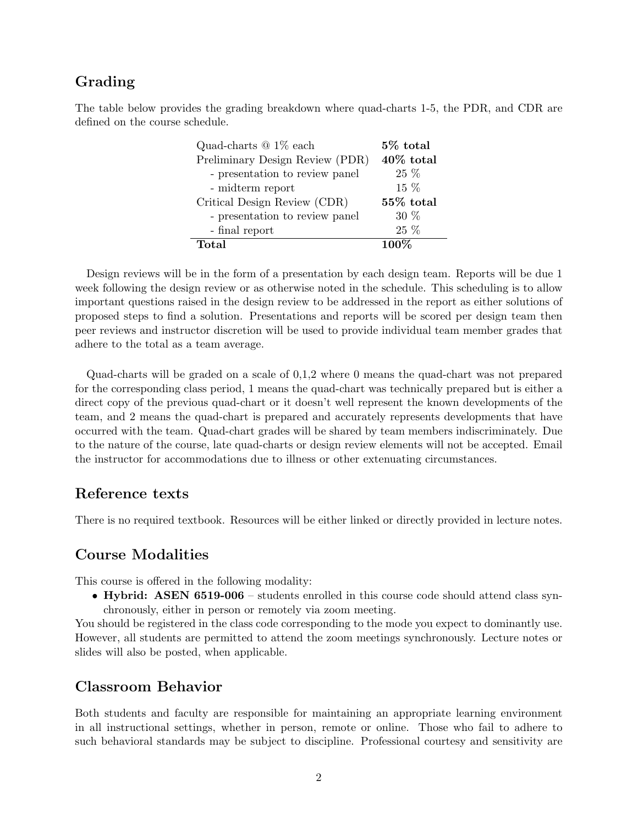## Grading

The table below provides the grading breakdown where quad-charts 1-5, the PDR, and CDR are defined on the course schedule.

| Quad-charts $@1\%$ each         | 5\% total    |
|---------------------------------|--------------|
| Preliminary Design Review (PDR) | $40\%$ total |
| - presentation to review panel  | 25 %         |
| - midterm report                | $15\%$       |
| Critical Design Review (CDR)    | 55% total    |
| - presentation to review panel  | $30\%$       |
| - final report                  | 25 %         |
| Total                           |              |

Design reviews will be in the form of a presentation by each design team. Reports will be due 1 week following the design review or as otherwise noted in the schedule. This scheduling is to allow important questions raised in the design review to be addressed in the report as either solutions of proposed steps to find a solution. Presentations and reports will be scored per design team then peer reviews and instructor discretion will be used to provide individual team member grades that adhere to the total as a team average.

Quad-charts will be graded on a scale of 0,1,2 where 0 means the quad-chart was not prepared for the corresponding class period, 1 means the quad-chart was technically prepared but is either a direct copy of the previous quad-chart or it doesn't well represent the known developments of the team, and 2 means the quad-chart is prepared and accurately represents developments that have occurred with the team. Quad-chart grades will be shared by team members indiscriminately. Due to the nature of the course, late quad-charts or design review elements will not be accepted. Email the instructor for accommodations due to illness or other extenuating circumstances.

#### Reference texts

There is no required textbook. Resources will be either linked or directly provided in lecture notes.

### Course Modalities

This course is offered in the following modality:

• Hybrid: ASEN 6519-006 – students enrolled in this course code should attend class synchronously, either in person or remotely via zoom meeting.

You should be registered in the class code corresponding to the mode you expect to dominantly use. However, all students are permitted to attend the zoom meetings synchronously. Lecture notes or slides will also be posted, when applicable.

### Classroom Behavior

Both students and faculty are responsible for maintaining an appropriate learning environment in all instructional settings, whether in person, remote or online. Those who fail to adhere to such behavioral standards may be subject to discipline. Professional courtesy and sensitivity are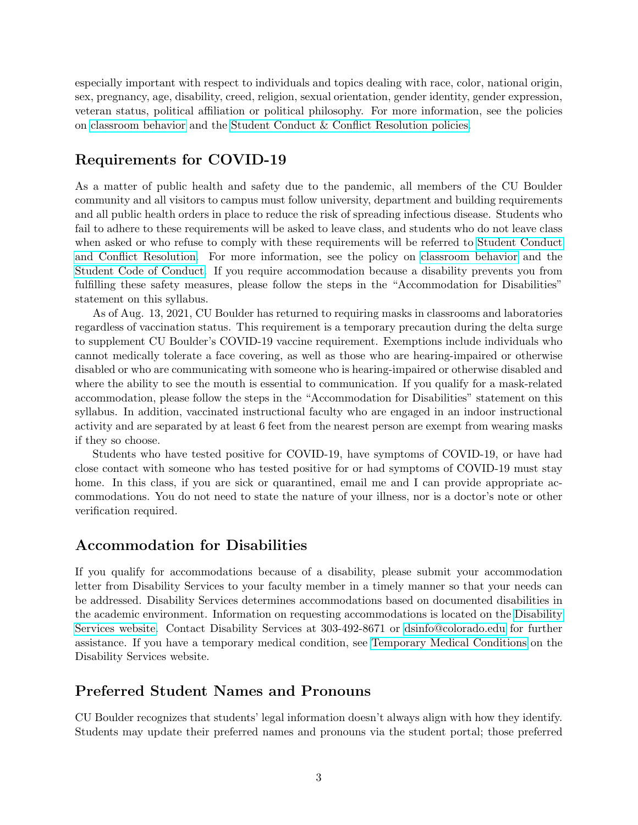especially important with respect to individuals and topics dealing with race, color, national origin, sex, pregnancy, age, disability, creed, religion, sexual orientation, gender identity, gender expression, veteran status, political affiliation or political philosophy. For more information, see the policies on [classroom behavior](http://www.colorado.edu/policies/student-classroom-and-course-related-behavior) and the [Student Conduct & Conflict Resolution policies.](https://www.colorado.edu/sccr/student-conduct)

#### Requirements for COVID-19

As a matter of public health and safety due to the pandemic, all members of the CU Boulder community and all visitors to campus must follow university, department and building requirements and all public health orders in place to reduce the risk of spreading infectious disease. Students who fail to adhere to these requirements will be asked to leave class, and students who do not leave class when asked or who refuse to comply with these requirements will be referred to [Student Conduct](https://www.colorado.edu/sccr/) [and Conflict Resolution.](https://www.colorado.edu/sccr/) For more information, see the policy on [classroom behavior](http://www.colorado.edu/policies/student-classroom-and-course-related-behavior) and the [Student Code of Conduct.](http://www.colorado.edu/osccr/) If you require accommodation because a disability prevents you from fulfilling these safety measures, please follow the steps in the "Accommodation for Disabilities" statement on this syllabus.

As of Aug. 13, 2021, CU Boulder has returned to requiring masks in classrooms and laboratories regardless of vaccination status. This requirement is a temporary precaution during the delta surge to supplement CU Boulder's COVID-19 vaccine requirement. Exemptions include individuals who cannot medically tolerate a face covering, as well as those who are hearing-impaired or otherwise disabled or who are communicating with someone who is hearing-impaired or otherwise disabled and where the ability to see the mouth is essential to communication. If you qualify for a mask-related accommodation, please follow the steps in the "Accommodation for Disabilities" statement on this syllabus. In addition, vaccinated instructional faculty who are engaged in an indoor instructional activity and are separated by at least 6 feet from the nearest person are exempt from wearing masks if they so choose.

Students who have tested positive for COVID-19, have symptoms of COVID-19, or have had close contact with someone who has tested positive for or had symptoms of COVID-19 must stay home. In this class, if you are sick or quarantined, email me and I can provide appropriate accommodations. You do not need to state the nature of your illness, nor is a doctor's note or other verification required.

#### Accommodation for Disabilities

If you qualify for accommodations because of a disability, please submit your accommodation letter from Disability Services to your faculty member in a timely manner so that your needs can be addressed. Disability Services determines accommodations based on documented disabilities in the academic environment. Information on requesting accommodations is located on the [Disability](https://www.colorado.edu/disabilityservices/) [Services website.](https://www.colorado.edu/disabilityservices/) Contact Disability Services at 303-492-8671 or [dsinfo@colorado.edu](mailto:dsinfo@colorado.edu) for further assistance. If you have a temporary medical condition, see [Temporary Medical Conditions](http://www.colorado.edu/disabilityservices/students/temporary-medical-conditions) on the Disability Services website.

#### Preferred Student Names and Pronouns

CU Boulder recognizes that students' legal information doesn't always align with how they identify. Students may update their preferred names and pronouns via the student portal; those preferred